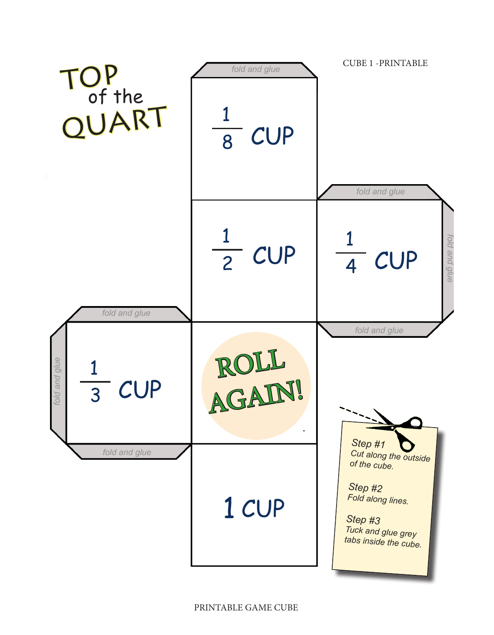